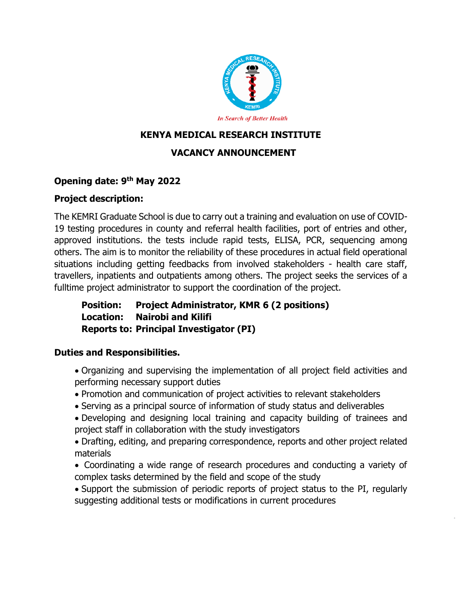

# **KENYA MEDICAL RESEARCH INSTITUTE**

## **VACANCY ANNOUNCEMENT**

### **Opening date: 9 th May 2022**

#### **Project description:**

The KEMRI Graduate School is due to carry out a training and evaluation on use of COVID-19 testing procedures in county and referral health facilities, port of entries and other, approved institutions. the tests include rapid tests, ELISA, PCR, sequencing among others. The aim is to monitor the reliability of these procedures in actual field operational situations including getting feedbacks from involved stakeholders - health care staff, travellers, inpatients and outpatients among others. The project seeks the services of a fulltime project administrator to support the coordination of the project.

**Position: Project Administrator, KMR 6 (2 positions) Location: Nairobi and Kilifi Reports to: Principal Investigator (PI)**

#### **Duties and Responsibilities.**

- Organizing and supervising the implementation of all project field activities and performing necessary support duties
- Promotion and communication of project activities to relevant stakeholders
- Serving as a principal source of information of study status and deliverables
- Developing and designing local training and capacity building of trainees and project staff in collaboration with the study investigators
- Drafting, editing, and preparing correspondence, reports and other project related materials
- Coordinating a wide range of research procedures and conducting a variety of complex tasks determined by the field and scope of the study

 Support the submission of periodic reports of project status to the PI, regularly suggesting additional tests or modifications in current procedures